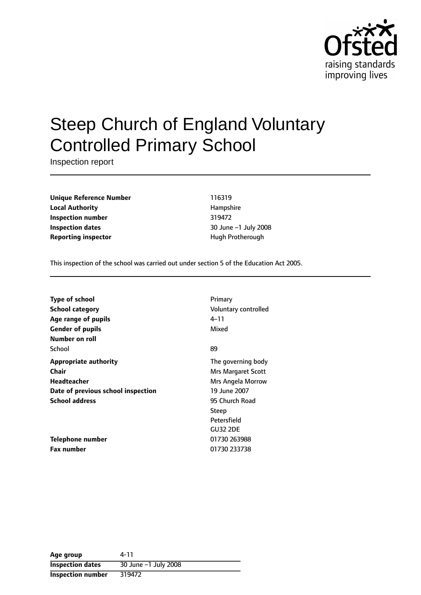

# Steep Church of England Voluntary Controlled Primary School

Inspection report

**Unique Reference Number** 116319 **Local Authority Hampshire Inspection number** 319472 **Inspection dates** 30 June -1 July 2008 **Reporting inspector Example 20 and Transform Protherough** 

This inspection of the school was carried out under section 5 of the Education Act 2005.

| <b>Type of school</b>              | Primary              |
|------------------------------------|----------------------|
|                                    |                      |
| <b>School category</b>             | Voluntary controlled |
| Age range of pupils                | 4–11                 |
| <b>Gender of pupils</b>            | Mixed                |
| Number on roll                     |                      |
| School                             | 89                   |
| <b>Appropriate authority</b>       | The governing body   |
| Chair                              | Mrs Margaret Scott   |
| Headteacher                        | Mrs Angela Morrow    |
| Date of previous school inspection | 19 June 2007         |
| <b>School address</b>              | 95 Church Road       |
|                                    | Steep                |
|                                    | Petersfield          |
|                                    | <b>GU32 2DE</b>      |
| <b>Telephone number</b>            | 01730 263988         |
| <b>Fax number</b>                  | 01730 233738         |

| Age group               | 4-11                 |
|-------------------------|----------------------|
| <b>Inspection dates</b> | 30 June -1 July 2008 |
| Inspection number       | 319472               |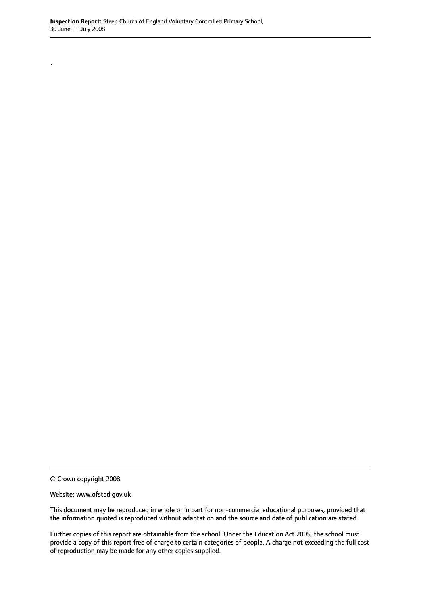.

© Crown copyright 2008

Website: www.ofsted.gov.uk

This document may be reproduced in whole or in part for non-commercial educational purposes, provided that the information quoted is reproduced without adaptation and the source and date of publication are stated.

Further copies of this report are obtainable from the school. Under the Education Act 2005, the school must provide a copy of this report free of charge to certain categories of people. A charge not exceeding the full cost of reproduction may be made for any other copies supplied.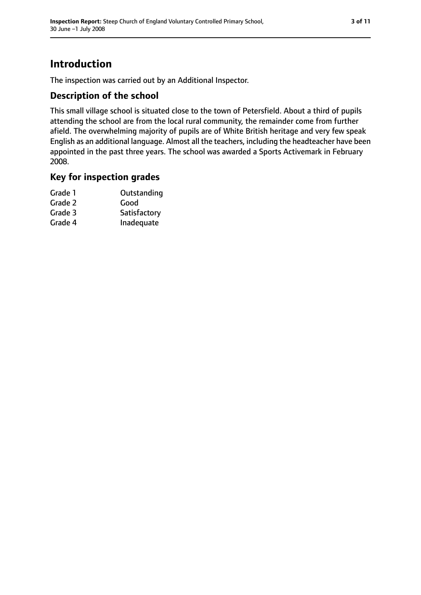# **Introduction**

The inspection was carried out by an Additional Inspector.

## **Description of the school**

This small village school is situated close to the town of Petersfield. About a third of pupils attending the school are from the local rural community, the remainder come from further afield. The overwhelming majority of pupils are of White British heritage and very few speak English as an additional language. Almost all the teachers, including the headteacher have been appointed in the past three years. The school was awarded a Sports Activemark in February 2008.

#### **Key for inspection grades**

| Grade 1 | Outstanding  |
|---------|--------------|
| Grade 2 | Good         |
| Grade 3 | Satisfactory |
| Grade 4 | Inadequate   |
|         |              |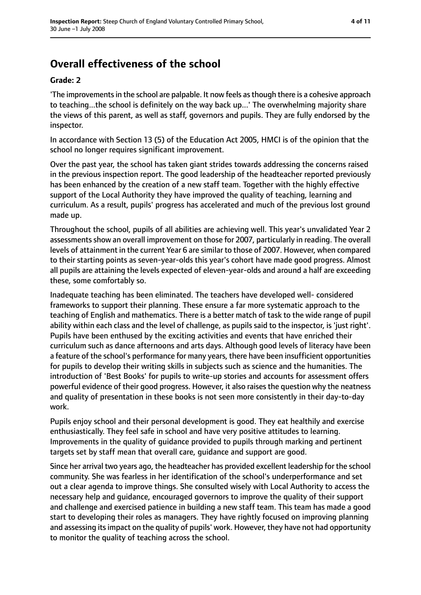# **Overall effectiveness of the school**

#### **Grade: 2**

'The improvementsin the school are palpable. It now feels asthough there is a cohesive approach to teaching...the school is definitely on the way back up...' The overwhelming majority share the views of this parent, as well as staff, governors and pupils. They are fully endorsed by the inspector.

In accordance with Section 13 (5) of the Education Act 2005, HMCI is of the opinion that the school no longer requires significant improvement.

Over the past year, the school has taken giant strides towards addressing the concerns raised in the previous inspection report. The good leadership of the headteacher reported previously has been enhanced by the creation of a new staff team. Together with the highly effective support of the Local Authority they have improved the quality of teaching, learning and curriculum. As a result, pupils' progress has accelerated and much of the previous lost ground made up.

Throughout the school, pupils of all abilities are achieving well. This year's unvalidated Year 2 assessments show an overall improvement on those for 2007, particularly in reading. The overall levels of attainment in the current Year 6 are similar to those of 2007. However, when compared to their starting points as seven-year-olds this year's cohort have made good progress. Almost all pupils are attaining the levels expected of eleven-year-olds and around a half are exceeding these, some comfortably so.

Inadequate teaching has been eliminated. The teachers have developed well- considered frameworks to support their planning. These ensure a far more systematic approach to the teaching of English and mathematics. There is a better match of task to the wide range of pupil ability within each class and the level of challenge, as pupils said to the inspector, is 'just right'. Pupils have been enthused by the exciting activities and events that have enriched their curriculum such as dance afternoons and arts days. Although good levels of literacy have been a feature of the school's performance for many years, there have been insufficient opportunities for pupils to develop their writing skills in subjects such as science and the humanities. The introduction of 'Best Books' for pupils to write-up stories and accounts for assessment offers powerful evidence of their good progress. However, it also raises the question why the neatness and quality of presentation in these books is not seen more consistently in their day-to-day work.

Pupils enjoy school and their personal development is good. They eat healthily and exercise enthusiastically. They feel safe in school and have very positive attitudes to learning. Improvements in the quality of guidance provided to pupils through marking and pertinent targets set by staff mean that overall care, guidance and support are good.

Since her arrival two years ago, the headteacher has provided excellent leadership for the school community. She was fearless in her identification of the school's underperformance and set out a clear agenda to improve things. She consulted wisely with Local Authority to access the necessary help and guidance, encouraged governors to improve the quality of their support and challenge and exercised patience in building a new staff team. This team has made a good start to developing their roles as managers. They have rightly focused on improving planning and assessing itsimpact on the quality of pupils' work. However, they have not had opportunity to monitor the quality of teaching across the school.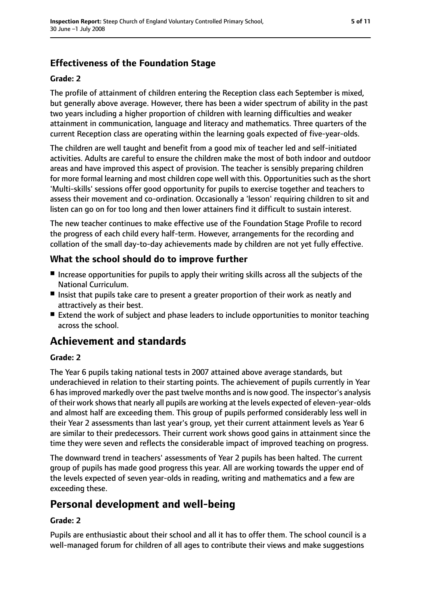## **Effectiveness of the Foundation Stage**

#### **Grade: 2**

The profile of attainment of children entering the Reception class each September is mixed, but generally above average. However, there has been a wider spectrum of ability in the past two years including a higher proportion of children with learning difficulties and weaker attainment in communication, language and literacy and mathematics. Three quarters of the current Reception class are operating within the learning goals expected of five-year-olds.

The children are well taught and benefit from a good mix of teacher led and self-initiated activities. Adults are careful to ensure the children make the most of both indoor and outdoor areas and have improved this aspect of provision. The teacher is sensibly preparing children for more formal learning and most children cope well with this. Opportunities such as the short 'Multi-skills' sessions offer good opportunity for pupils to exercise together and teachers to assess their movement and co-ordination. Occasionally a 'lesson' requiring children to sit and listen can go on for too long and then lower attainers find it difficult to sustain interest.

The new teacher continues to make effective use of the Foundation Stage Profile to record the progress of each child every half-term. However, arrangements for the recording and collation of the small day-to-day achievements made by children are not yet fully effective.

#### **What the school should do to improve further**

- Increase opportunities for pupils to apply their writing skills across all the subjects of the National Curriculum.
- Insist that pupils take care to present a greater proportion of their work as neatly and attractively as their best.
- Extend the work of subject and phase leaders to include opportunities to monitor teaching across the school.

## **Achievement and standards**

#### **Grade: 2**

The Year 6 pupils taking national tests in 2007 attained above average standards, but underachieved in relation to their starting points. The achievement of pupils currently in Year 6 hasimproved markedly over the past twelve months and is now good. The inspector's analysis of their work shows that nearly all pupils are working at the levels expected of eleven-year-olds and almost half are exceeding them. This group of pupils performed considerably less well in their Year 2 assessments than last year's group, yet their current attainment levels as Year 6 are similar to their predecessors. Their current work shows good gains in attainment since the time they were seven and reflects the considerable impact of improved teaching on progress.

The downward trend in teachers' assessments of Year 2 pupils has been halted. The current group of pupils has made good progress this year. All are working towards the upper end of the levels expected of seven year-olds in reading, writing and mathematics and a few are exceeding these.

## **Personal development and well-being**

#### **Grade: 2**

Pupils are enthusiastic about their school and all it has to offer them. The school council is a well-managed forum for children of all ages to contribute their views and make suggestions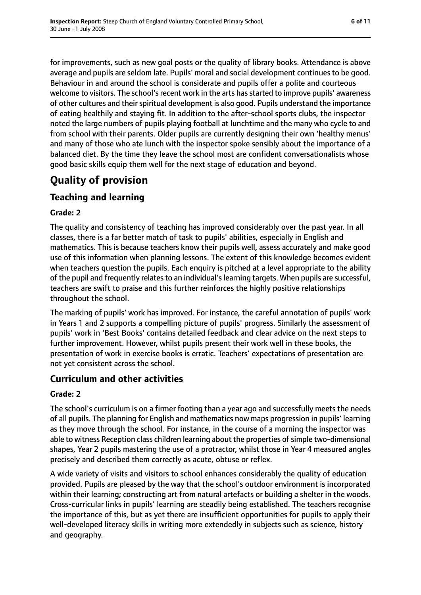for improvements, such as new goal posts or the quality of library books. Attendance is above average and pupils are seldom late. Pupils' moral and social development continues to be good. Behaviour in and around the school is considerate and pupils offer a polite and courteous welcome to visitors. The school's recent work in the arts has started to improve pupils' awareness of other cultures and their spiritual development is also good. Pupils understand the importance of eating healthily and staying fit. In addition to the after-school sports clubs, the inspector noted the large numbers of pupils playing football at lunchtime and the many who cycle to and from school with their parents. Older pupils are currently designing their own 'healthy menus' and many of those who ate lunch with the inspector spoke sensibly about the importance of a balanced diet. By the time they leave the school most are confident conversationalists whose good basic skills equip them well for the next stage of education and beyond.

# **Quality of provision**

## **Teaching and learning**

#### **Grade: 2**

The quality and consistency of teaching has improved considerably over the past year. In all classes, there is a far better match of task to pupils' abilities, especially in English and mathematics. This is because teachers know their pupils well, assess accurately and make good use of this information when planning lessons. The extent of this knowledge becomes evident when teachers question the pupils. Each enquiry is pitched at a level appropriate to the ability of the pupil and frequently relates to an individual's learning targets. When pupils are successful, teachers are swift to praise and this further reinforces the highly positive relationships throughout the school.

The marking of pupils' work has improved. For instance, the careful annotation of pupils' work in Years 1 and 2 supports a compelling picture of pupils' progress. Similarly the assessment of pupils' work in 'Best Books' contains detailed feedback and clear advice on the next steps to further improvement. However, whilst pupils present their work well in these books, the presentation of work in exercise books is erratic. Teachers' expectations of presentation are not yet consistent across the school.

#### **Curriculum and other activities**

#### **Grade: 2**

The school's curriculum is on a firmer footing than a year ago and successfully meets the needs of all pupils. The planning for English and mathematics now maps progression in pupils' learning as they move through the school. For instance, in the course of a morning the inspector was able to witness Reception class children learning about the properties of simple two-dimensional shapes, Year 2 pupils mastering the use of a protractor, whilst those in Year 4 measured angles precisely and described them correctly as acute, obtuse or reflex.

A wide variety of visits and visitors to school enhances considerably the quality of education provided. Pupils are pleased by the way that the school's outdoor environment is incorporated within their learning; constructing art from natural artefacts or building a shelter in the woods. Cross-curricular links in pupils' learning are steadily being established. The teachers recognise the importance of this, but as yet there are insufficient opportunities for pupils to apply their well-developed literacy skills in writing more extendedly in subjects such as science, history and geography.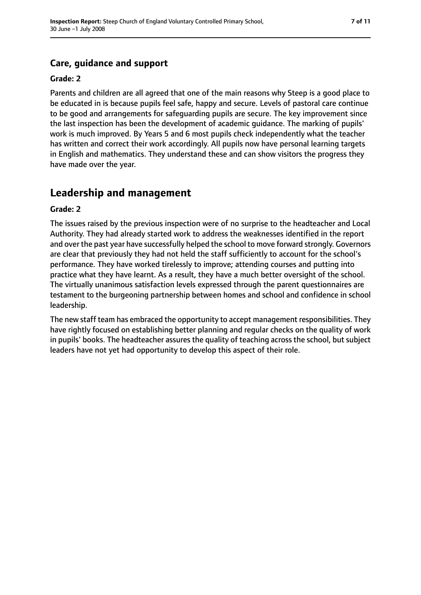# **Care, guidance and support**

#### **Grade: 2**

Parents and children are all agreed that one of the main reasons why Steep is a good place to be educated in is because pupils feel safe, happy and secure. Levels of pastoral care continue to be good and arrangements for safeguarding pupils are secure. The key improvement since the last inspection has been the development of academic guidance. The marking of pupils' work is much improved. By Years 5 and 6 most pupils check independently what the teacher has written and correct their work accordingly. All pupils now have personal learning targets in English and mathematics. They understand these and can show visitors the progress they have made over the year.

## **Leadership and management**

#### **Grade: 2**

The issues raised by the previous inspection were of no surprise to the headteacher and Local Authority. They had already started work to address the weaknesses identified in the report and over the past year have successfully helped the school to move forward strongly. Governors are clear that previously they had not held the staff sufficiently to account for the school's performance. They have worked tirelessly to improve; attending courses and putting into practice what they have learnt. As a result, they have a much better oversight of the school. The virtually unanimous satisfaction levels expressed through the parent questionnaires are testament to the burgeoning partnership between homes and school and confidence in school leadership.

The new staff team has embraced the opportunity to accept management responsibilities. They have rightly focused on establishing better planning and regular checks on the quality of work in pupils' books. The headteacher assures the quality of teaching across the school, but subject leaders have not yet had opportunity to develop this aspect of their role.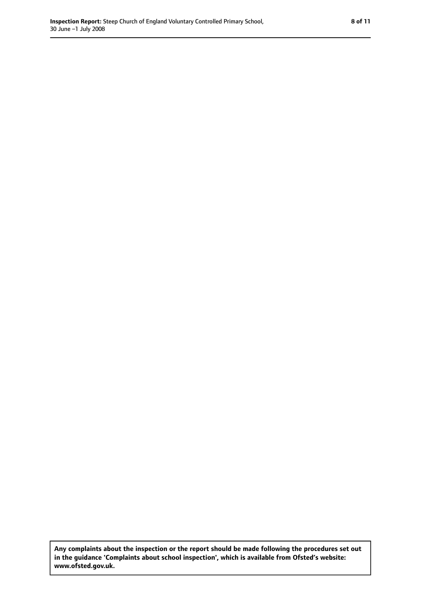**Any complaints about the inspection or the report should be made following the procedures set out in the guidance 'Complaints about school inspection', which is available from Ofsted's website: www.ofsted.gov.uk.**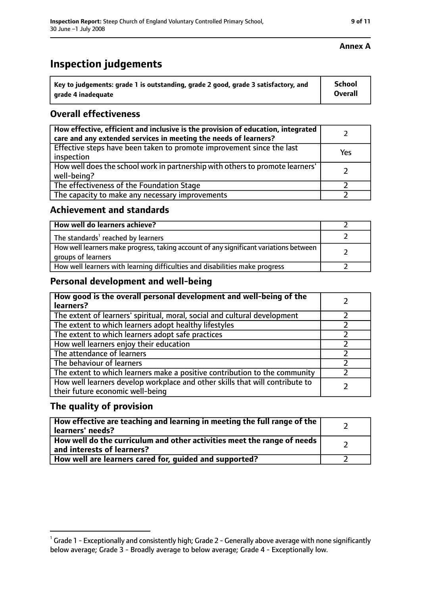| $^{\backprime}$ Key to judgements: grade 1 is outstanding, grade 2 good, grade 3 satisfactory, and | <b>School</b> |
|----------------------------------------------------------------------------------------------------|---------------|
| arade 4 inadequate                                                                                 | Overall       |

### **Overall effectiveness**

| How effective, efficient and inclusive is the provision of education, integrated<br>care and any extended services in meeting the needs of learners? |     |
|------------------------------------------------------------------------------------------------------------------------------------------------------|-----|
| Effective steps have been taken to promote improvement since the last<br>inspection                                                                  | Yes |
| How well does the school work in partnership with others to promote learners'<br>well-being?                                                         |     |
| The effectiveness of the Foundation Stage                                                                                                            |     |
| The capacity to make any necessary improvements                                                                                                      |     |

#### **Achievement and standards**

| How well do learners achieve?                                                                               |  |
|-------------------------------------------------------------------------------------------------------------|--|
| The standards <sup>1</sup> reached by learners                                                              |  |
| How well learners make progress, taking account of any significant variations between<br>groups of learners |  |
| How well learners with learning difficulties and disabilities make progress                                 |  |

#### **Personal development and well-being**

| How good is the overall personal development and well-being of the<br>learners?                                  |  |
|------------------------------------------------------------------------------------------------------------------|--|
| The extent of learners' spiritual, moral, social and cultural development                                        |  |
| The extent to which learners adopt healthy lifestyles                                                            |  |
| The extent to which learners adopt safe practices                                                                |  |
| How well learners enjoy their education                                                                          |  |
| The attendance of learners                                                                                       |  |
| The behaviour of learners                                                                                        |  |
| The extent to which learners make a positive contribution to the community                                       |  |
| How well learners develop workplace and other skills that will contribute to<br>their future economic well-being |  |

#### **The quality of provision**

| How effective are teaching and learning in meeting the full range of the<br>learners' needs?          |  |
|-------------------------------------------------------------------------------------------------------|--|
| How well do the curriculum and other activities meet the range of needs<br>and interests of learners? |  |
| How well are learners cared for, guided and supported?                                                |  |

#### **Annex A**

 $^1$  Grade 1 - Exceptionally and consistently high; Grade 2 - Generally above average with none significantly below average; Grade 3 - Broadly average to below average; Grade 4 - Exceptionally low.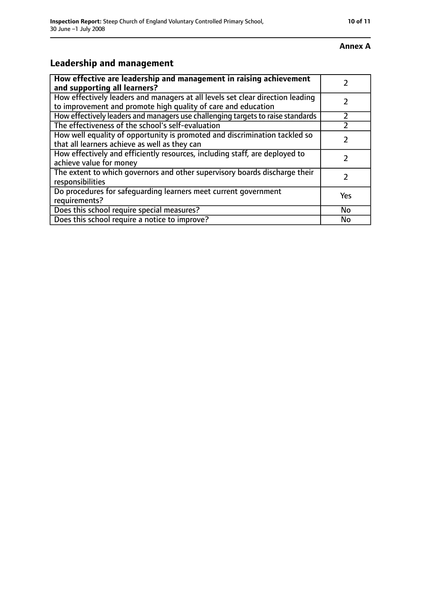#### **Annex A**

# **Leadership and management**

| How effective are leadership and management in raising achievement<br>and supporting all learners?                                              |     |
|-------------------------------------------------------------------------------------------------------------------------------------------------|-----|
| How effectively leaders and managers at all levels set clear direction leading<br>to improvement and promote high quality of care and education |     |
| How effectively leaders and managers use challenging targets to raise standards                                                                 |     |
| The effectiveness of the school's self-evaluation                                                                                               |     |
| How well equality of opportunity is promoted and discrimination tackled so<br>that all learners achieve as well as they can                     |     |
| How effectively and efficiently resources, including staff, are deployed to<br>achieve value for money                                          | フ   |
| The extent to which governors and other supervisory boards discharge their<br>responsibilities                                                  |     |
| Do procedures for safequarding learners meet current government<br>requirements?                                                                | Yes |
| Does this school require special measures?                                                                                                      | No  |
| Does this school require a notice to improve?                                                                                                   | No  |